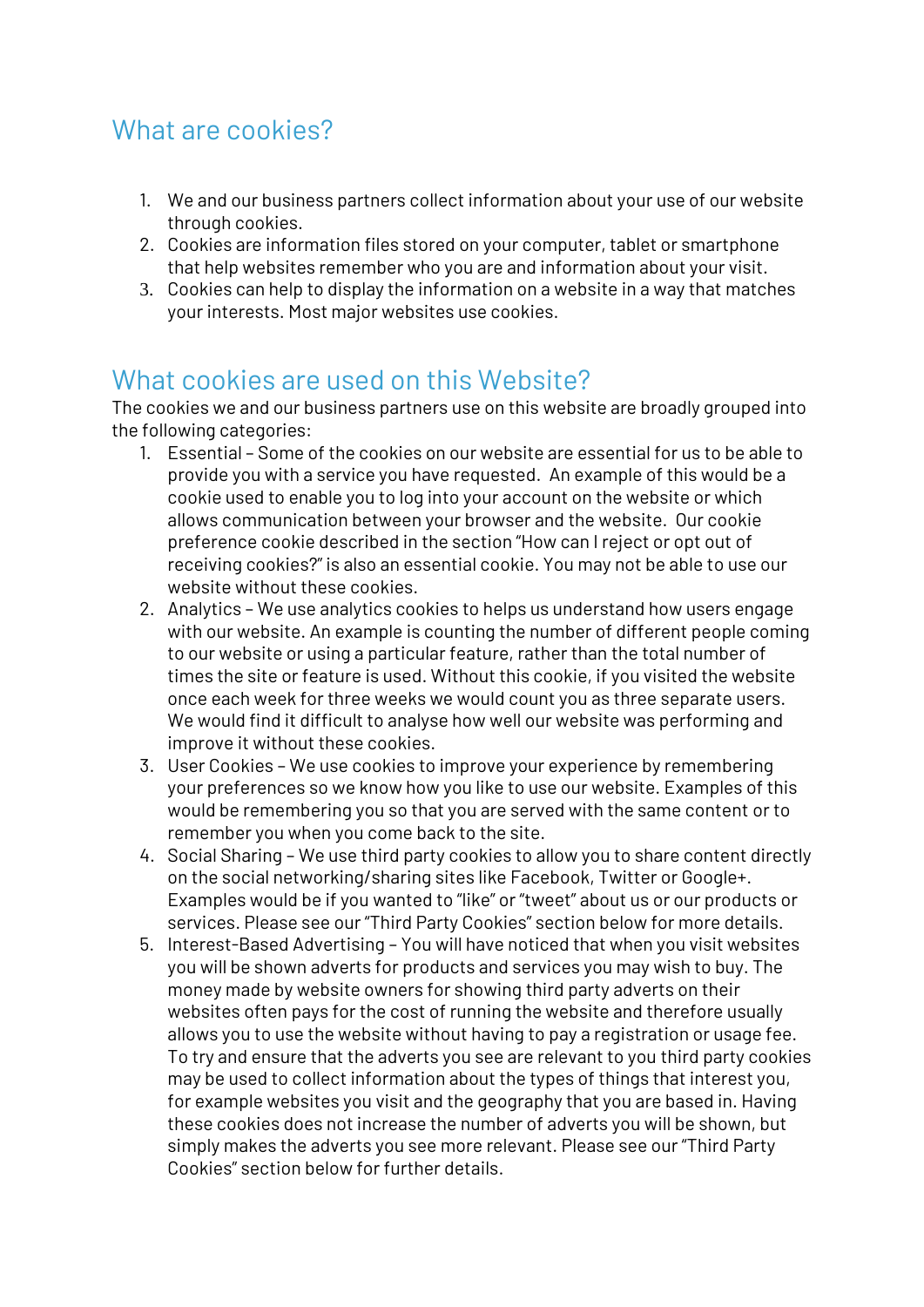## What are cookies?

- 1. We and our business partners collect information about your use of our website through cookies.
- 2. Cookies are information files stored on your computer, tablet or smartphone that help websites remember who you are and information about your visit.
- 3. Cookies can help to display the information on a website in a way that matches your interests. Most major websites use cookies.

## What cookies are used on this Website?

The cookies we and our business partners use on this website are broadly grouped into the following categories:

- 1. Essential Some of the cookies on our website are essential for us to be able to provide you with a service you have requested. An example of this would be a cookie used to enable you to log into your account on the website or which allows communication between your browser and the website. Our cookie preference cookie described in the section "How can I reject or opt out of receiving cookies?" is also an essential cookie. You may not be able to use our website without these cookies.
- 2. Analytics We use analytics cookies to helps us understand how users engage with our website. An example is counting the number of different people coming to our website or using a particular feature, rather than the total number of times the site or feature is used. Without this cookie, if you visited the website once each week for three weeks we would count you as three separate users. We would find it difficult to analyse how well our website was performing and improve it without these cookies.
- 3. User Cookies We use cookies to improve your experience by remembering your preferences so we know how you like to use our website. Examples of this would be remembering you so that you are served with the same content or to remember you when you come back to the site.
- 4. Social Sharing We use third party cookies to allow you to share content directly on the social networking/sharing sites like Facebook, Twitter or Google+. Examples would be if you wanted to "like" or "tweet" about us or our products or services. Please see our "Third Party Cookies" section below for more details.
- 5. Interest-Based Advertising You will have noticed that when you visit websites you will be shown adverts for products and services you may wish to buy. The money made by website owners for showing third party adverts on their websites often pays for the cost of running the website and therefore usually allows you to use the website without having to pay a registration or usage fee. To try and ensure that the adverts you see are relevant to you third party cookies may be used to collect information about the types of things that interest you, for example websites you visit and the geography that you are based in. Having these cookies does not increase the number of adverts you will be shown, but simply makes the adverts you see more relevant. Please see our "Third Party Cookies" section below for further details.